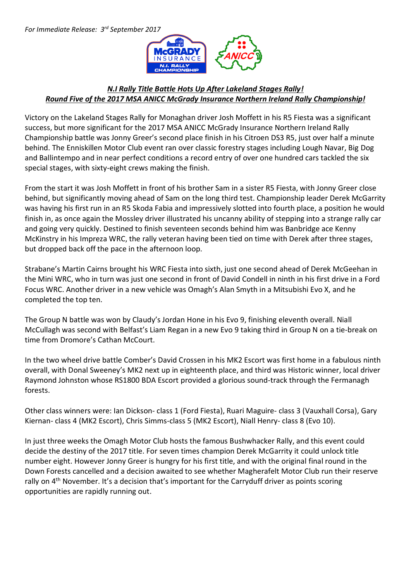

## *N.I Rally Title Battle Hots Up After Lakeland Stages Rally! Round Five of the 2017 MSA ANICC McGrady Insurance Northern Ireland Rally Championship!*

Victory on the Lakeland Stages Rally for Monaghan driver Josh Moffett in his R5 Fiesta was a significant success, but more significant for the 2017 MSA ANICC McGrady Insurance Northern Ireland Rally Championship battle was Jonny Greer's second place finish in his Citroen DS3 R5, just over half a minute behind. The Enniskillen Motor Club event ran over classic forestry stages including Lough Navar, Big Dog and Ballintempo and in near perfect conditions a record entry of over one hundred cars tackled the six special stages, with sixty-eight crews making the finish.

From the start it was Josh Moffett in front of his brother Sam in a sister R5 Fiesta, with Jonny Greer close behind, but significantly moving ahead of Sam on the long third test. Championship leader Derek McGarrity was having his first run in an R5 Skoda Fabia and impressively slotted into fourth place, a position he would finish in, as once again the Mossley driver illustrated his uncanny ability of stepping into a strange rally car and going very quickly. Destined to finish seventeen seconds behind him was Banbridge ace Kenny McKinstry in his Impreza WRC, the rally veteran having been tied on time with Derek after three stages, but dropped back off the pace in the afternoon loop.

Strabane's Martin Cairns brought his WRC Fiesta into sixth, just one second ahead of Derek McGeehan in the Mini WRC, who in turn was just one second in front of David Condell in ninth in his first drive in a Ford Focus WRC. Another driver in a new vehicle was Omagh's Alan Smyth in a Mitsubishi Evo X, and he completed the top ten.

The Group N battle was won by Claudy's Jordan Hone in his Evo 9, finishing eleventh overall. Niall McCullagh was second with Belfast's Liam Regan in a new Evo 9 taking third in Group N on a tie-break on time from Dromore's Cathan McCourt.

In the two wheel drive battle Comber's David Crossen in his MK2 Escort was first home in a fabulous ninth overall, with Donal Sweeney's MK2 next up in eighteenth place, and third was Historic winner, local driver Raymond Johnston whose RS1800 BDA Escort provided a glorious sound-track through the Fermanagh forests.

Other class winners were: Ian Dickson- class 1 (Ford Fiesta), Ruari Maguire- class 3 (Vauxhall Corsa), Gary Kiernan- class 4 (MK2 Escort), Chris Simms-class 5 (MK2 Escort), Niall Henry- class 8 (Evo 10).

In just three weeks the Omagh Motor Club hosts the famous Bushwhacker Rally, and this event could decide the destiny of the 2017 title. For seven times champion Derek McGarrity it could unlock title number eight. However Jonny Greer is hungry for his first title, and with the original final round in the Down Forests cancelled and a decision awaited to see whether Magherafelt Motor Club run their reserve rally on 4<sup>th</sup> November. It's a decision that's important for the Carryduff driver as points scoring opportunities are rapidly running out.